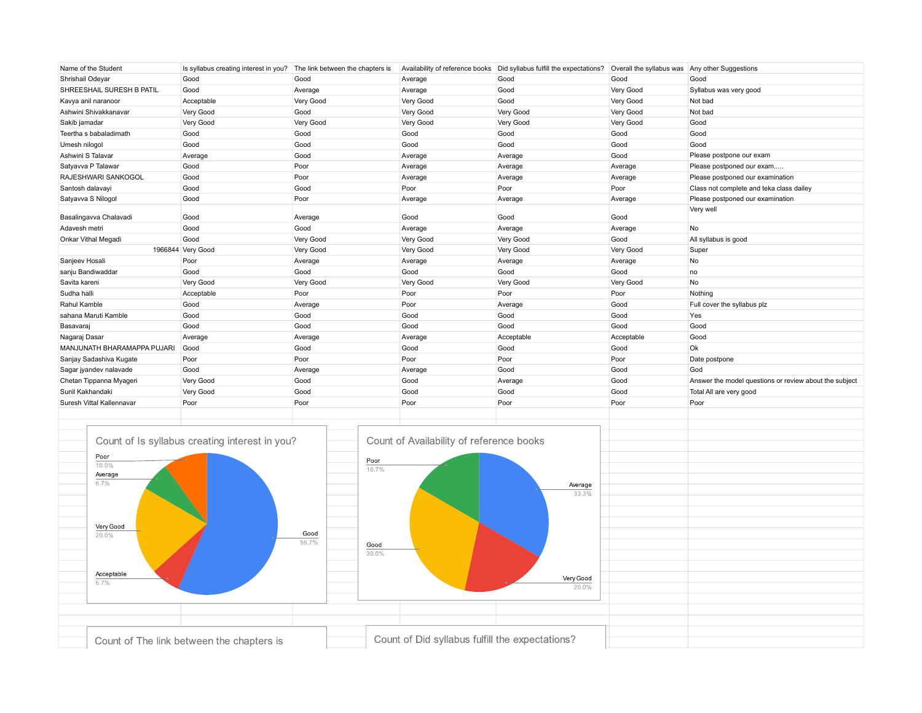| Name of the Student         | Is syllabus creating interest in you? The link between the chapters is |           |           | Availability of reference books   Did syllabus fulfill the expectations? | Overall the syllabus was Any other Suggestions |                                                        |
|-----------------------------|------------------------------------------------------------------------|-----------|-----------|--------------------------------------------------------------------------|------------------------------------------------|--------------------------------------------------------|
| Shrishail Odeyar            | Good                                                                   | Good      | Average   | Good                                                                     | Good                                           | Good                                                   |
| SHREESHAIL SURESH B PATIL   | Good                                                                   | Average   | Average   | Good                                                                     | Very Good                                      | Syllabus was very good                                 |
| Kavya anil naranoor         | Acceptable                                                             | Very Good | Very Good | Good                                                                     | Very Good                                      | Not bad                                                |
| Ashwini Shivakkanavar       | Very Good                                                              | Good      | Very Good | Very Good                                                                | Very Good                                      | Not bad                                                |
| Sakib jamadar               | Very Good                                                              | Very Good | Very Good | Very Good                                                                | Very Good                                      | Good                                                   |
| Teertha s babaladimath      | Good                                                                   | Good      | Good      | Good                                                                     | Good                                           | Good                                                   |
| Umesh nilogol               | Good                                                                   | Good      | Good      | Good                                                                     | Good                                           | Good                                                   |
| Ashwini S Talavar           | Average                                                                | Good      | Average   | Average                                                                  | Good                                           | Please postpone our exam                               |
| Satyavva P Talawar          | Good                                                                   | Poor      | Average   | Average                                                                  | Average                                        | Please postponed our exam                              |
| RAJESHWARI SANKOGOL         | Good                                                                   | Poor      | Average   | Average                                                                  | Average                                        | Please postponed our examination                       |
| Santosh dalavayi            | Good                                                                   | Good      | Poor      | Poor                                                                     | Poor                                           | Class not complete and teka class dailey               |
| Satyavva S Nilogol          | Good                                                                   | Poor      | Average   | Average                                                                  | Average                                        | Please postponed our examination                       |
| Basalingavva Chalavadi      | Good                                                                   | Average   | Good      | Good                                                                     | Good                                           | Very well                                              |
| Adavesh metri               | Good                                                                   | Good      | Average   | Average                                                                  | Average                                        | <b>No</b>                                              |
| Onkar Vithal Megadi         | Good                                                                   | Very Good | Very Good | Very Good                                                                | Good                                           | All syllabus is good                                   |
|                             | 1966844 Very Good                                                      | Very Good | Very Good | Very Good                                                                | Very Good                                      | Super                                                  |
| Sanjeev Hosali              | Poor                                                                   | Average   | Average   | Average                                                                  | Average                                        | No                                                     |
| sanju Bandiwaddar           | Good                                                                   | Good      | Good      | Good                                                                     | Good                                           | no                                                     |
| Savita kareni               | Very Good                                                              | Very Good | Very Good | Very Good                                                                | Very Good                                      | <b>No</b>                                              |
| Sudha halli                 | Acceptable                                                             | Poor      | Poor      | Poor                                                                     | Poor                                           | Nothing                                                |
| Rahul Kamble                | Good                                                                   | Average   | Poor      | Average                                                                  | Good                                           | Full cover the syllabus plz                            |
| sahana Maruti Kamble        | Good                                                                   | Good      | Good      | Good                                                                     | Good                                           | Yes                                                    |
| Basavaraj                   | Good                                                                   | Good      | Good      | Good                                                                     | Good                                           | Good                                                   |
| Nagaraj Dasar               | Average                                                                | Average   | Average   | Acceptable                                                               | Acceptable                                     | Good                                                   |
| MANJUNATH BHARAMAPPA PUJARI | Good                                                                   | Good      | Good      | Good                                                                     | Good                                           | Ok                                                     |
| Sanjay Sadashiva Kugate     | Poor                                                                   | Poor      | Poor      | Poor                                                                     | Poor                                           | Date postpone                                          |
| Sagar jyandev nalavade      | Good                                                                   | Average   | Average   | Good                                                                     | Good                                           | God                                                    |
| Chetan Tippanna Myageri     | Very Good                                                              | Good      | Good      | Average                                                                  | Good                                           | Answer the model questions or review about the subject |
| Sunil Kakhandaki            | Very Good                                                              | Good      | Good      | Good                                                                     | Good                                           | Total All are very good                                |
| Suresh Vittal Kallennavar   | Poor                                                                   | Poor      | Poor      | Poor                                                                     | Poor                                           | Poor                                                   |
|                             |                                                                        |           |           |                                                                          |                                                |                                                        |